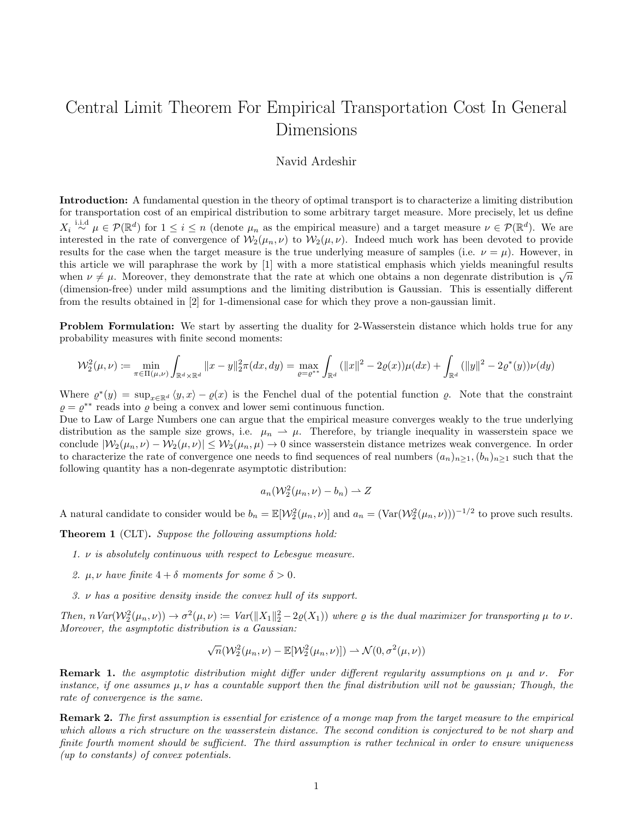## Central Limit Theorem For Empirical Transportation Cost In General Dimensions

## Navid Ardeshir

Introduction: A fundamental question in the theory of optimal transport is to characterize a limiting distribution for transportation cost of an empirical distribution to some arbitrary target measure. More precisely, let us define  $X_i \stackrel{\text{i.i.d}}{\sim} \mu \in \mathcal{P}(\mathbb{R}^d)$  for  $1 \leq i \leq n$  (denote  $\mu_n$  as the empirical measure) and a target measure  $\nu \in \mathcal{P}(\mathbb{R}^d)$ . We are interested in the rate of convergence of  $W_2(\mu_n, \nu)$  to  $W_2(\mu, \nu)$ . Indeed much work has been devoted to provide results for the case when the target measure is the true underlying measure of samples (i.e.  $\nu = \mu$ ). However, in this article we will paraphrase the work by [1] with a more statistical emphasis which yields meaningful results when  $\nu \neq \mu$ . Moreover, they demonstrate that the rate at which one obtains a non degenrate distribution is  $\sqrt{n}$ (dimension-free) under mild assumptions and the limiting distribution is Gaussian. This is essentially different from the results obtained in [2] for 1-dimensional case for which they prove a non-gaussian limit.

**Problem Formulation:** We start by asserting the duality for 2-Wasserstein distance which holds true for any probability measures with finite second moments:

$$
\mathcal{W}_2^2(\mu,\nu) := \min_{\pi \in \Pi(\mu,\nu)} \int_{\mathbb{R}^d \times \mathbb{R}^d} ||x - y||_2^2 \pi(dx,dy) = \max_{\varrho = \varrho^{**}} \int_{\mathbb{R}^d} (||x||^2 - 2\varrho(x))\mu(dx) + \int_{\mathbb{R}^d} (||y||^2 - 2\varrho^*(y))\nu(dy)
$$

Where  $\varrho^*(y) = \sup_{x \in \mathbb{R}^d} \langle y, x \rangle - \varrho(x)$  is the Fenchel dual of the potential function  $\varrho$ . Note that the constraint  $\rho = \rho^{**}$  reads into  $\rho$  being a convex and lower semi continuous function.

Due to Law of Large Numbers one can argue that the empirical measure converges weakly to the true underlying distribution as the sample size grows, i.e.  $\mu_n \to \mu$ . Therefore, by triangle inequality in wasserstein space we conclude  $|\mathcal{W}_2(\mu_n, \nu) - \mathcal{W}_2(\mu, \nu)| \leq \mathcal{W}_2(\mu_n, \mu) \to 0$  since wasserstein distance metrizes weak convergence. In order to characterize the rate of convergence one needs to find sequences of real numbers  $(a_n)_{n\geq 1}$ ,  $(b_n)_{n\geq 1}$  such that the following quantity has a non-degenrate asymptotic distribution:

$$
a_n(\mathcal{W}_2^2(\mu_n,\nu)-b_n)\rightharpoonup Z
$$

A natural candidate to consider would be  $b_n = \mathbb{E}[\mathcal{W}_2^2(\mu_n, \nu)]$  and  $a_n = (\text{Var}(\mathcal{W}_2^2(\mu_n, \nu)))^{-1/2}$  to prove such results.

Theorem 1 (CLT). Suppose the following assumptions hold:

- 1.  $\nu$  is absolutely continuous with respect to Lebesque measure.
- 2.  $\mu, \nu$  have finite  $4 + \delta$  moments for some  $\delta > 0$ .
- 3. ν has a positive density inside the convex hull of its support.

Then,  $n \text{Var}(\mathcal{W}_2^2(\mu_n, \nu)) \to \sigma^2(\mu, \nu) := \text{Var}(\|X_1\|_2^2 - 2\rho(X_1))$  where  $\rho$  is the dual maximizer for transporting  $\mu$  to  $\nu$ . Moreover, the asymptotic distribution is a Gaussian:

$$
\sqrt{n}(\mathcal{W}_2^2(\mu_n,\nu)-\mathbb{E}[\mathcal{W}_2^2(\mu_n,\nu)])\rightharpoonup\mathcal{N}(0,\sigma^2(\mu,\nu))
$$

**Remark 1.** the asymptotic distribution might differ under different regularity assumptions on  $\mu$  and  $\nu$ . For instance, if one assumes  $\mu, \nu$  has a countable support then the final distribution will not be gaussian; Though, the rate of convergence is the same.

Remark 2. The first assumption is essential for existence of a monge map from the target measure to the empirical which allows a rich structure on the wasserstein distance. The second condition is conjectured to be not sharp and finite fourth moment should be sufficient. The third assumption is rather technical in order to ensure uniqueness (up to constants) of convex potentials.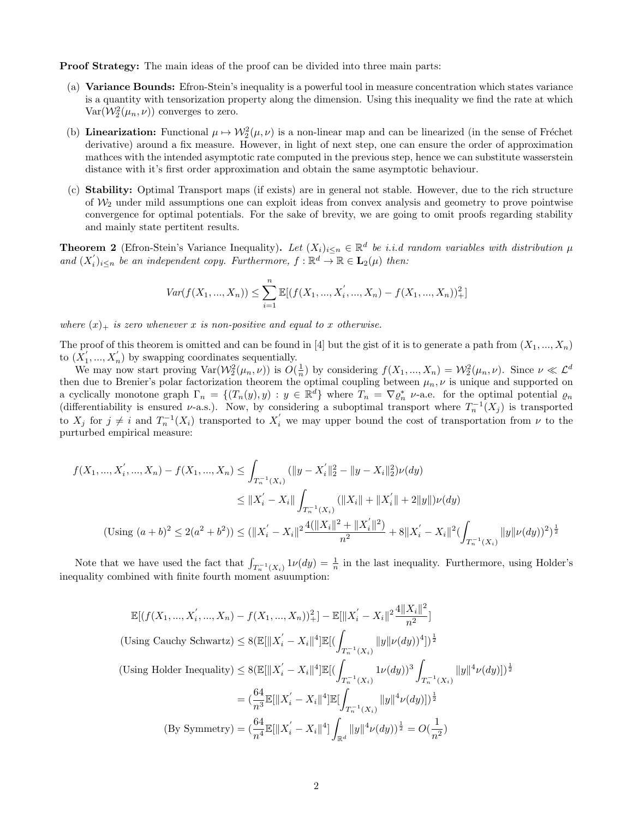Proof Strategy: The main ideas of the proof can be divided into three main parts:

- (a) Variance Bounds: Efron-Stein's inequality is a powerful tool in measure concentration which states variance is a quantity with tensorization property along the dimension. Using this inequality we find the rate at which  $Var(\mathcal{W}_2^2(\mu_n, \nu))$  converges to zero.
- (b) **Linearization:** Functional  $\mu \mapsto W_2^2(\mu, \nu)$  is a non-linear map and can be linearized (in the sense of Fréchet derivative) around a fix measure. However, in light of next step, one can ensure the order of approximation mathces with the intended asymptotic rate computed in the previous step, hence we can substitute wasserstein distance with it's first order approximation and obtain the same asymptotic behaviour.
- (c) Stability: Optimal Transport maps (if exists) are in general not stable. However, due to the rich structure of  $\mathcal{W}_2$  under mild assumptions one can exploit ideas from convex analysis and geometry to prove pointwise convergence for optimal potentials. For the sake of brevity, we are going to omit proofs regarding stability and mainly state pertitent results.

**Theorem 2** (Efron-Stein's Variance Inequality). Let  $(X_i)_{i\leq n} \in \mathbb{R}^d$  be *i.i.d random variables with distribution*  $\mu$ and  $(X_i')_{i\leq n}$  be an independent copy. Furthermore,  $f: \mathbb{R}^d \to \mathbb{R} \in \mathbf{L}_2(\mu)$  then:

$$
Var(f(X_1, ..., X_n)) \le \sum_{i=1}^n \mathbb{E}[(f(X_1, ..., X_i', ..., X_n) - f(X_1, ..., X_n))_+^2]
$$

where  $(x)_+$  is zero whenever x is non-positive and equal to x otherwise.

The proof of this theorem is omitted and can be found in [4] but the gist of it is to generate a path from  $(X_1, ..., X_n)$ to  $(X'_1, ..., X'_n)$  by swapping coordinates sequentially.

We may now start proving  $\text{Var}(\mathcal{W}_2^2(\mu_n, \nu))$  is  $O(\frac{1}{n})$  by considering  $f(X_1, ..., X_n) = \mathcal{W}_2^2(\mu_n, \nu)$ . Since  $\nu \ll \mathcal{L}^d$ then due to Brenier's polar factorization theorem the optimal coupling between  $\mu_n, \nu$  is unique and supported on a cyclically monotone graph  $\Gamma_n = \{(T_n(y), y) : y \in \mathbb{R}^d\}$  where  $T_n = \nabla \varrho_n^*$  v-a.e. for the optimal potential  $\varrho_n$ (differentiability is ensured v-a.s.). Now, by considering a suboptimal transport where  $T_n^{-1}(X_j)$  is transported to  $X_j$  for  $j \neq i$  and  $T_n^{-1}(X_i)$  transported to  $X'_i$  we may upper bound the cost of transportation from  $\nu$  to the purturbed empirical measure:

$$
f(X_1, ..., X_i', ..., X_n) - f(X_1, ..., X_n) \le \int_{T_n^{-1}(X_i)} (\|y - X_i'\|_2^2 - \|y - X_i\|_2^2) \nu(dy)
$$
  

$$
\le \|X_i' - X_i\| \int_{T_n^{-1}(X_i)} (\|X_i\| + \|X_i'\| + 2\|y\|) \nu(dy)
$$
  

$$
(\text{Using } (a+b)^2 \le 2(a^2+b^2)) \le (\|X_i' - X_i\|^2 \frac{4(\|X_i\|^2 + \|X_i'\|^2)}{n^2} + 8\|X_i' - X_i\|^2 (\int_{T_n^{-1}(X_i)} \|y\| \nu(dy))^2)^{\frac{1}{2}}
$$

Note that we have used the fact that  $\int_{T_n^{-1}(X_i)} 1 \nu(dy) = \frac{1}{n}$  in the last inequality. Furthermore, using Holder's inequality combined with finite fourth moment asuumption:

$$
\mathbb{E}[(f(X_1, ..., X_i', ..., X_n) - f(X_1, ..., X_n))_+^2] - \mathbb{E}[\|X_i' - X_i\|^2 \frac{4\|X_i\|^2}{n^2}]
$$
  
(Using Cauchy Schwartz)  $\leq 8(\mathbb{E}[\|X_i' - X_i\|^4] \mathbb{E}[(\int_{T_n^{-1}(X_i)} \|y\|\nu(dy))^4])^{\frac{1}{2}}$   
(Using Holder Inequality)  $\leq 8(\mathbb{E}[\|X_i' - X_i\|^4] \mathbb{E}[(\int_{T_n^{-1}(X_i)} 1\nu(dy))^3 \int_{T_n^{-1}(X_i)} \|y\|^4 \nu(dy)])^{\frac{1}{2}}$   
 $= (\frac{64}{n^3} \mathbb{E}[\|X_i' - X_i\|^4] \mathbb{E}[\int_{T_n^{-1}(X_i)} \|y\|^4 \nu(dy)])^{\frac{1}{2}}$   
(By Symmetry)  $= (\frac{64}{n^4} \mathbb{E}[\|X_i' - X_i\|^4] \int_{\mathbb{R}^d} \|y\|^4 \nu(dy))^{\frac{1}{2}} = O(\frac{1}{n^2})$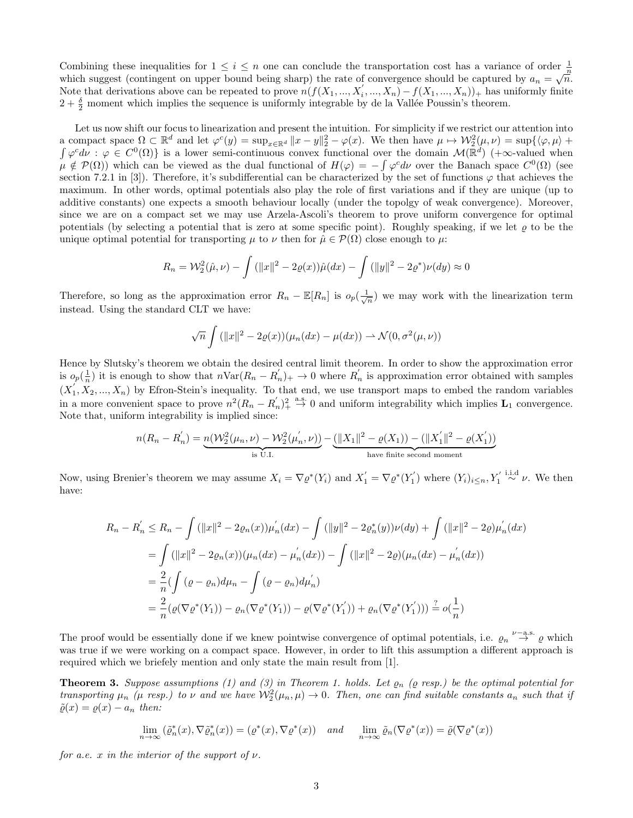Combining these inequalities for  $1 \leq i \leq n$  one can conclude the transportation cost has a variance of order  $\frac{1}{n}$  which suggest (contingent on upper bound being sharp) the rate of convergence should be captured by Note that derivations above can be repeated to prove  $n(f(X_1, ..., X_i', ..., X_n) - f(X_1, ..., X_n))_+$  has uniformly finite  $2 + \frac{\delta}{2}$  moment which implies the sequence is uniformly integrable by de la Vallée Poussin's theorem.

Let us now shift our focus to linearization and present the intuition. For simplicity if we restrict our attention into a compact space  $\Omega \subset \mathbb{R}^d$  and let  $\varphi^c(y) = \sup_{x \in \mathbb{R}^d} ||x - y||_2^2 - \varphi(x)$ . We then have  $\mu \mapsto \mathcal{W}_2^2(\mu, \nu) = \sup \{ \langle \varphi, \mu \rangle + \varphi \}$  $\int \varphi^c d\nu$ :  $\varphi \in C^0(\Omega)$  is a lower semi-continuous convex functional over the domain  $\mathcal{M}(\mathbb{R}^d)$  (+ $\infty$ -valued when  $\mu \notin \mathcal{P}(\Omega)$ ) which can be viewed as the dual functional of  $H(\varphi) = -\int \varphi^c d\nu$  over the Banach space  $C^0(\Omega)$  (see section 7.2.1 in [3]). Therefore, it's subdifferential can be characterized by the set of functions  $\varphi$  that achieves the maximum. In other words, optimal potentials also play the role of first variations and if they are unique (up to additive constants) one expects a smooth behaviour locally (under the topolgy of weak convergence). Moreover, since we are on a compact set we may use Arzela-Ascoli's theorem to prove uniform convergence for optimal potentials (by selecting a potential that is zero at some specific point). Roughly speaking, if we let  $\rho$  to be the unique optimal potential for transporting  $\mu$  to  $\nu$  then for  $\hat{\mu} \in \mathcal{P}(\Omega)$  close enough to  $\mu$ :

$$
R_n = \mathcal{W}_2^2(\hat{\mu}, \nu) - \int (||x||^2 - 2\varrho(x))\hat{\mu}(dx) - \int (||y||^2 - 2\varrho^*)\nu(dy) \approx 0
$$

Therefore, so long as the approximation error  $R_n - \mathbb{E}[R_n]$  is  $o_p(\frac{1}{\sqrt{n}})$  we may work with the linearization term instead. Using the standard CLT we have:

$$
\sqrt{n}\int (\|x\|^2 - 2\varrho(x))(\mu_n(dx) - \mu(dx)) \rightharpoonup \mathcal{N}(0, \sigma^2(\mu, \nu))
$$

Hence by Slutsky's theorem we obtain the desired central limit theorem. In order to show the approximation error is  $o_p(\frac{1}{n})$  it is enough to show that  $n\text{Var}(R_n - R'_n)_{+} \to 0$  where  $R'_n$  is approximation error obtained with samples  $(X'_1, X_2, ..., X_n)$  by Efron-Stein's inequality. To that end, we use transport maps to embed the random variables in a more convenient space to prove  $n^2(R_n - R'_n)^2$  and uniform integrability which implies  $\mathbf{L}_1$  convergence. Note that, uniform integrability is implied since:

$$
n(R_n-R_n^{'})=\underbrace{n(\mathcal{W}_2^2(\mu_n,\nu)-\mathcal{W}_2^2(\mu_n^{'},\nu))}_{\text{is U.I.}}-\underbrace{(\|X_1\|^2-\varrho(X_1))-(\|X_1^{'}\|^2-\varrho(X_1^{'}))}_{\text{have finite second moment}}
$$

Now, using Brenier's theorem we may assume  $X_i = \nabla \varrho^*(Y_i)$  and  $X'_1 = \nabla \varrho^*(Y'_1)$  where  $(Y_i)_{i \leq n}, Y'_1 \stackrel{\text{i.i.d}}{\sim} \nu$ . We then have:

$$
R_n - R'_n \le R_n - \int (\|x\|^2 - 2\varrho_n(x))\mu'_n(dx) - \int (\|y\|^2 - 2\varrho_n^*(y))\nu(dy) + \int (\|x\|^2 - 2\varrho)\mu'_n(dx)
$$
  
\n
$$
= \int (\|x\|^2 - 2\varrho_n(x))(\mu_n(dx) - \mu'_n(dx)) - \int (\|x\|^2 - 2\varrho)(\mu_n(dx) - \mu'_n(dx))
$$
  
\n
$$
= \frac{2}{n}(\int (\varrho - \varrho_n)d\mu_n - \int (\varrho - \varrho_n)d\mu'_n)
$$
  
\n
$$
= \frac{2}{n}(\varrho(\nabla\varrho^*(Y_1)) - \varrho_n(\nabla\varrho^*(Y_1)) - \varrho(\nabla\varrho^*(Y_1')) + \varrho_n(\nabla\varrho^*(Y_1')))\stackrel{?}{=} o(\frac{1}{n})
$$

The proof would be essentially done if we knew pointwise convergence of optimal potentials, i.e.  $\varrho_n \stackrel{\nu-a.s.}{\rightarrow} \varrho$  which was true if we were working on a compact space. However, in order to lift this assumption a different approach is required which we briefely mention and only state the main result from [1].

**Theorem 3.** Suppose assumptions (1) and (3) in Theorem 1. holds. Let  $\varrho_n$  ( $\varrho$  resp.) be the optimal potential for transporting  $\mu_n$  ( $\mu$  resp.) to  $\nu$  and we have  $\mathcal{W}_2^2(\mu_n, \mu) \to 0$ . Then, one can find suitable constants  $a_n$  such that if  $\tilde{\varrho}(x) = \varrho(x) - a_n$  then:

$$
\lim_{n \to \infty} (\tilde{\varrho}_n^*(x), \nabla \tilde{\varrho}_n^*(x)) = (\varrho^*(x), \nabla \varrho^*(x)) \quad \text{and} \quad \lim_{n \to \infty} \tilde{\varrho}_n(\nabla \varrho^*(x)) = \tilde{\varrho}(\nabla \varrho^*(x))
$$

for a.e. x in the interior of the support of  $\nu$ .